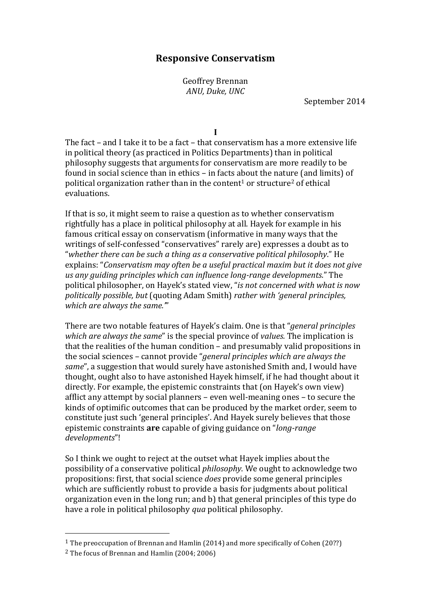# **Responsive Conservatism**

Geoffrey Brennan *ANU, Duke, UNC* 

September 2014

**I**

The fact – and I take it to be a fact – that conservatism has a more extensive life in political theory (as practiced in Politics Departments) than in political philosophy suggests that arguments for conservatism are more readily to be found in social science than in ethics  $-$  in facts about the nature (and limits) of political organization rather than in the content<sup>1</sup> or structure<sup>2</sup> of ethical evaluations.

If that is so, it might seem to raise a question as to whether conservatism rightfully has a place in political philosophy at all. Hayek for example in his famous critical essay on conservatism (informative in many ways that the writings of self-confessed "conservatives" rarely are) expresses a doubt as to "whether there can be such a thing as a conservative political philosophy." He explains: "Conservatism may often be a useful practical maxim but it does not give *us any quiding principles which can influence long-range developments.*" The political philosopher, on Hayek's stated view, "*is not concerned with what is now politically possible, but* (quoting Adam Smith) *rather with 'general principles,* which are always the same."'

There are two notable features of Hayek's claim. One is that "*general principles which are always the same*" is the special province of *values*. The implication is that the realities of the human condition  $-$  and presumably valid propositions in the social sciences – cannot provide "*general principles which are always the same*", a suggestion that would surely have astonished Smith and, I would have thought, ought also to have astonished Hayek himself, if he had thought about it directly. For example, the epistemic constraints that (on Hayek's own view) afflict any attempt by social planners  $-$  even well-meaning ones  $-$  to secure the kinds of optimific outcomes that can be produced by the market order, seem to constitute just such 'general principles'. And Hayek surely believes that those epistemic constraints are capable of giving guidance on "*long-range developments*"!

So I think we ought to reject at the outset what Hayek implies about the possibility of a conservative political *philosophy*. We ought to acknowledge two propositions: first, that social science *does* provide some general principles which are sufficiently robust to provide a basis for judgments about political organization even in the long run; and b) that general principles of this type do have a role in political philosophy *qua* political philosophy.

<sup>&</sup>lt;sup>1</sup> The preoccupation of Brennan and Hamlin (2014) and more specifically of Cohen (20??)

 $2$  The focus of Brennan and Hamlin  $(2004:2006)$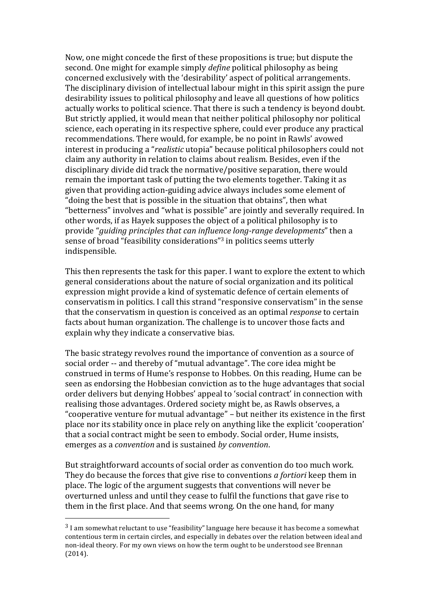Now, one might concede the first of these propositions is true; but dispute the second. One might for example simply *define* political philosophy as being concerned exclusively with the 'desirability' aspect of political arrangements. The disciplinary division of intellectual labour might in this spirit assign the pure desirability issues to political philosophy and leave all questions of how politics actually works to political science. That there is such a tendency is beyond doubt. But strictly applied, it would mean that neither political philosophy nor political science, each operating in its respective sphere, could ever produce any practical recommendations. There would, for example, be no point in Rawls' avowed interest in producing a "*realistic* utopia" because political philosophers could not claim any authority in relation to claims about realism. Besides, even if the disciplinary divide did track the normative/positive separation, there would remain the important task of putting the two elements together. Taking it as given that providing action-guiding advice always includes some element of "doing the best that is possible in the situation that obtains", then what "betterness" involves and "what is possible" are jointly and severally required. In other words, if as Hayek supposes the object of a political philosophy is to provide "*guiding principles that can influence long-range developments*" then a sense of broad "feasibility considerations"<sup>3</sup> in politics seems utterly indispensible. 

This then represents the task for this paper. I want to explore the extent to which general considerations about the nature of social organization and its political expression might provide a kind of systematic defence of certain elements of conservatism in politics. I call this strand "responsive conservatism" in the sense that the conservatism in question is conceived as an optimal *response* to certain facts about human organization. The challenge is to uncover those facts and explain why they indicate a conservative bias.

The basic strategy revolves round the importance of convention as a source of social order -- and thereby of "mutual advantage". The core idea might be construed in terms of Hume's response to Hobbes. On this reading, Hume can be seen as endorsing the Hobbesian conviction as to the huge advantages that social order delivers but denying Hobbes' appeal to 'social contract' in connection with realising those advantages. Ordered society might be, as Rawls observes, a "cooperative venture for mutual advantage" - but neither its existence in the first place nor its stability once in place rely on anything like the explicit 'cooperation' that a social contract might be seen to embody. Social order, Hume insists, emerges as a *convention* and is sustained *by convention*. 

But straightforward accounts of social order as convention do too much work. They do because the forces that give rise to conventions *a fortiori* keep them in place. The logic of the argument suggests that conventions will never be overturned unless and until they cease to fulfil the functions that gave rise to them in the first place. And that seems wrong. On the one hand, for many

 $3$  I am somewhat reluctant to use "feasibility" language here because it has become a somewhat contentious term in certain circles, and especially in debates over the relation between ideal and non-ideal theory. For my own views on how the term ought to be understood see Brennan (2014).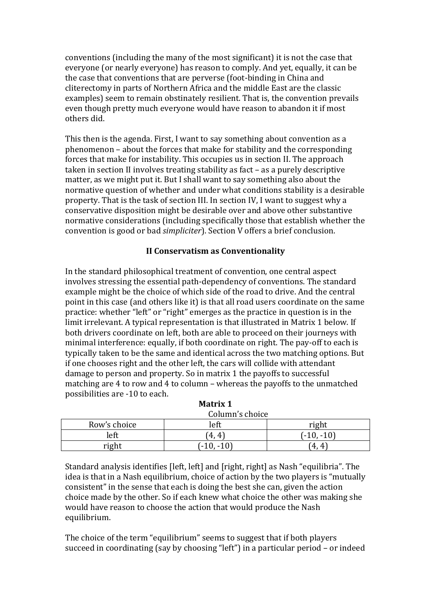conventions (including the many of the most significant) it is not the case that everyone (or nearly everyone) has reason to comply. And yet, equally, it can be the case that conventions that are perverse (foot-binding in China and cliterectomy in parts of Northern Africa and the middle East are the classic examples) seem to remain obstinately resilient. That is, the convention prevails even though pretty much everyone would have reason to abandon it if most others did.

This then is the agenda. First, I want to say something about convention as a  $phenomenon$  – about the forces that make for stability and the corresponding forces that make for instability. This occupies us in section II. The approach taken in section II involves treating stability as fact  $-$  as a purely descriptive matter, as we might put it. But I shall want to say something also about the normative question of whether and under what conditions stability is a desirable property. That is the task of section III. In section IV, I want to suggest why a conservative disposition might be desirable over and above other substantive normative considerations (including specifically those that establish whether the convention is good or bad *simpliciter*). Section V offers a brief conclusion.

## **II Conservatism as Conventionality**

In the standard philosophical treatment of convention, one central aspect involves stressing the essential path-dependency of conventions. The standard example might be the choice of which side of the road to drive. And the central point in this case (and others like it) is that all road users coordinate on the same practice: whether "left" or "right" emerges as the practice in question is in the limit irrelevant. A typical representation is that illustrated in Matrix 1 below. If both drivers coordinate on left, both are able to proceed on their journeys with minimal interference: equally, if both coordinate on right. The pay-off to each is typically taken to be the same and identical across the two matching options. But if one chooses right and the other left, the cars will collide with attendant damage to person and property. So in matrix 1 the payoffs to successful matching are 4 to row and 4 to column – whereas the payoffs to the unmatched possibilities are -10 to each.

|              | Column's choice |               |  |  |  |
|--------------|-----------------|---------------|--|--|--|
| Row's choice | left            | right         |  |  |  |
| left         | 4.<br>4         | $( -10, -10)$ |  |  |  |
| right        | $-10.$          | $^{\circ}4.$  |  |  |  |

| Matrix 1 |  |  |
|----------|--|--|
|          |  |  |

Standard analysis identifies lleft, leftl and [right, right] as Nash "equilibria". The idea is that in a Nash equilibrium, choice of action by the two players is "mutually consistent" in the sense that each is doing the best she can, given the action choice made by the other. So if each knew what choice the other was making she would have reason to choose the action that would produce the Nash equilibrium. 

The choice of the term "equilibrium" seems to suggest that if both players succeed in coordinating  $(say$  by choosing "left") in a particular period – or indeed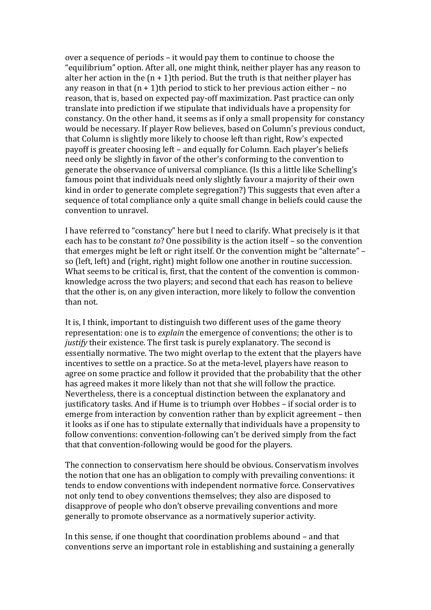over a sequence of periods – it would pay them to continue to choose the "equilibrium" option. After all, one might think, neither player has any reason to alter her action in the  $(n + 1)$ th period. But the truth is that neither player has any reason in that  $(n + 1)$ th period to stick to her previous action either – no reason, that is, based on expected pay-off maximization. Past practice can only translate into prediction if we stipulate that individuals have a propensity for constancy. On the other hand, it seems as if only a small propensity for constancy would be necessary. If player Row believes, based on Column's previous conduct, that Column is slightly more likely to choose left than right, Row's expected payoff is greater choosing left – and equally for Column. Each player's beliefs need only be slightly in favor of the other's conforming to the convention to generate the observance of universal compliance. (Is this a little like Schelling's famous point that individuals need only slightly favour a majority of their own kind in order to generate complete segregation?) This suggests that even after a sequence of total compliance only a quite small change in beliefs could cause the convention to unravel.

I have referred to "constancy" here but I need to clarify. What precisely is it that each has to be constant *to*? One possibility is the action itself – so the convention that emerges might be left or right itself. Or the convention might be "alternate"  $$ so (left, left) and (right, right) might follow one another in routine succession. What seems to be critical is, first, that the content of the convention is commonknowledge across the two players; and second that each has reason to believe that the other is, on any given interaction, more likely to follow the convention than not.

It is, I think, important to distinguish two different uses of the game theory representation: one is to *explain* the emergence of conventions; the other is to *justify* their existence. The first task is purely explanatory. The second is essentially normative. The two might overlap to the extent that the players have incentives to settle on a practice. So at the meta-level, players have reason to agree on some practice and follow it provided that the probability that the other has agreed makes it more likely than not that she will follow the practice. Nevertheless, there is a conceptual distinction between the explanatory and justificatory tasks. And if Hume is to triumph over Hobbes – if social order is to emerge from interaction by convention rather than by explicit agreement – then it looks as if one has to stipulate externally that individuals have a propensity to follow conventions: convention-following can't be derived simply from the fact that that convention-following would be good for the players.

The connection to conservatism here should be obvious. Conservatism involves the notion that one has an obligation to comply with prevailing conventions: it tends to endow conventions with independent normative force. Conservatives not only tend to obey conventions themselves; they also are disposed to disapprove of people who don't observe prevailing conventions and more generally to promote observance as a normatively superior activity.

In this sense, if one thought that coordination problems abound – and that conventions serve an important role in establishing and sustaining a generally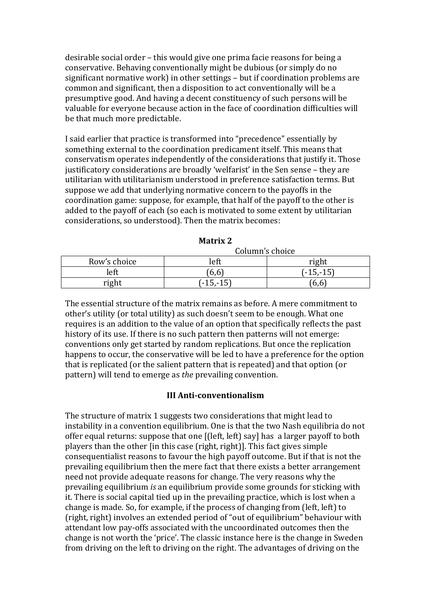desirable social order – this would give one prima facie reasons for being a conservative. Behaving conventionally might be dubious (or simply do no significant normative work) in other settings – but if coordination problems are common and significant, then a disposition to act conventionally will be a presumptive good. And having a decent constituency of such persons will be valuable for everyone because action in the face of coordination difficulties will be that much more predictable.

I said earlier that practice is transformed into "precedence" essentially by something external to the coordination predicament itself. This means that conservatism operates independently of the considerations that justify it. Those justificatory considerations are broadly 'welfarist' in the Sen sense - they are utilitarian with utilitarianism understood in preference satisfaction terms. But suppose we add that underlying normative concern to the payoffs in the coordination game: suppose, for example, that half of the payoff to the other is added to the payoff of each (so each is motivated to some extent by utilitarian considerations, so understood). Then the matrix becomes:

|              | Column's choice |             |  |  |
|--------------|-----------------|-------------|--|--|
| Row's choice | left            | righ.       |  |  |
| left         | 6,6             | $(-15,-15)$ |  |  |
| right        | $(-15,-15)$     | 6,6         |  |  |

The essential structure of the matrix remains as before. A mere commitment to other's utility (or total utility) as such doesn't seem to be enough. What one requires is an addition to the value of an option that specifically reflects the past history of its use. If there is no such pattern then patterns will not emerge: conventions only get started by random replications. But once the replication happens to occur, the conservative will be led to have a preference for the option that is replicated (or the salient pattern that is repeated) and that option (or pattern) will tend to emerge as *the* prevailing convention.

### **III Anti-conventionalism**

The structure of matrix 1 suggests two considerations that might lead to instability in a convention equilibrium. One is that the two Nash equilibria do not offer equal returns: suppose that one [(left, left) say] has a larger payoff to both players than the other [in this case (right, right)]. This fact gives simple consequentialist reasons to favour the high payoff outcome. But if that is not the prevailing equilibrium then the mere fact that there exists a better arrangement need not provide adequate reasons for change. The very reasons why the prevailing equilibrium *is* an equilibrium provide some grounds for sticking with it. There is social capital tied up in the prevailing practice, which is lost when a change is made. So, for example, if the process of changing from (left, left) to (right, right) involves an extended period of "out of equilibrium" behaviour with attendant low pay-offs associated with the uncoordinated outcomes then the change is not worth the 'price'. The classic instance here is the change in Sweden from driving on the left to driving on the right. The advantages of driving on the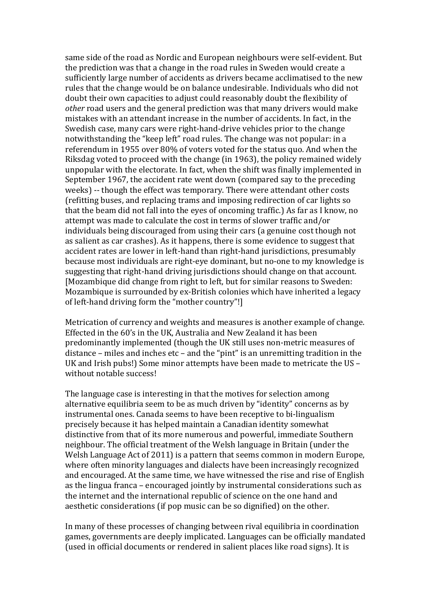same side of the road as Nordic and European neighbours were self-evident. But the prediction was that a change in the road rules in Sweden would create a sufficiently large number of accidents as drivers became acclimatised to the new rules that the change would be on balance undesirable. Individuals who did not doubt their own capacities to adjust could reasonably doubt the flexibility of *other* road users and the general prediction was that many drivers would make mistakes with an attendant increase in the number of accidents. In fact, in the Swedish case, many cars were right-hand-drive vehicles prior to the change notwithstanding the "keep left" road rules. The change was not popular: in a referendum in 1955 over 80% of voters voted for the status quo. And when the Riksdag voted to proceed with the change (in 1963), the policy remained widely unpopular with the electorate. In fact, when the shift was finally implemented in September 1967, the accident rate went down (compared say to the preceding weeks) -- though the effect was temporary. There were attendant other costs (refitting buses, and replacing trams and imposing redirection of car lights so that the beam did not fall into the eves of oncoming traffic.) As far as I know, no attempt was made to calculate the cost in terms of slower traffic and/or individuals being discouraged from using their cars (a genuine cost though not as salient as car crashes). As it happens, there is some evidence to suggest that accident rates are lower in left-hand than right-hand jurisdictions, presumably because most individuals are right-eye dominant, but no-one to my knowledge is suggesting that right-hand driving jurisdictions should change on that account. [Mozambique did change from right to left, but for similar reasons to Sweden: Mozambique is surrounded by ex-British colonies which have inherited a legacy of left-hand driving form the "mother country"!]

Metrication of currency and weights and measures is another example of change. Effected in the 60's in the UK, Australia and New Zealand it has been predominantly implemented (though the UK still uses non-metric measures of distance – miles and inches  $etc$  – and the "pint" is an unremitting tradition in the UK and Irish pubs!) Some minor attempts have been made to metricate the US – without notable success!

The language case is interesting in that the motives for selection among alternative equilibria seem to be as much driven by "identity" concerns as by instrumental ones. Canada seems to have been receptive to bi-lingualism precisely because it has helped maintain a Canadian identity somewhat distinctive from that of its more numerous and powerful, immediate Southern neighbour. The official treatment of the Welsh language in Britain (under the Welsh Language Act of 2011) is a pattern that seems common in modern Europe, where often minority languages and dialects have been increasingly recognized and encouraged. At the same time, we have witnessed the rise and rise of English as the lingua franca - encouraged jointly by instrumental considerations such as the internet and the international republic of science on the one hand and aesthetic considerations (if pop music can be so dignified) on the other.

In many of these processes of changing between rival equilibria in coordination games, governments are deeply implicated. Languages can be officially mandated (used in official documents or rendered in salient places like road signs). It is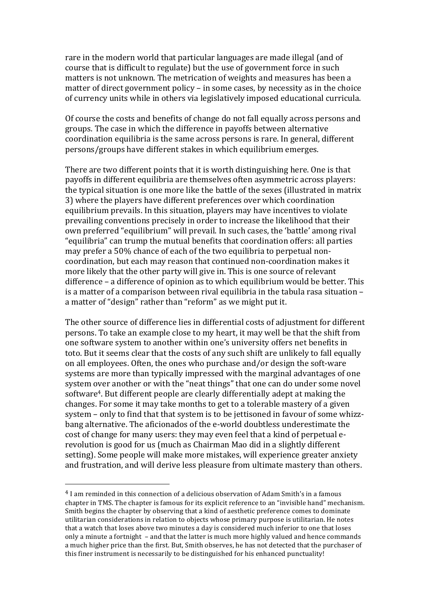rare in the modern world that particular languages are made illegal (and of course that is difficult to regulate) but the use of government force in such matters is not unknown. The metrication of weights and measures has been a matter of direct government policy – in some cases, by necessity as in the choice of currency units while in others via legislatively imposed educational curricula.

Of course the costs and benefits of change do not fall equally across persons and groups. The case in which the difference in payoffs between alternative coordination equilibria is the same across persons is rare. In general, different persons/groups have different stakes in which equilibrium emerges.

There are two different points that it is worth distinguishing here. One is that payoffs in different equilibria are themselves often asymmetric across players: the typical situation is one more like the battle of the sexes (illustrated in matrix 3) where the players have different preferences over which coordination equilibrium prevails. In this situation, players may have incentives to violate prevailing conventions precisely in order to increase the likelihood that their own preferred "equilibrium" will prevail. In such cases, the 'battle' among rival " equilibria" can trump the mutual benefits that coordination offers: all parties may prefer a 50% chance of each of the two equilibria to perpetual noncoordination, but each may reason that continued non-coordination makes it more likely that the other party will give in. This is one source of relevant difference  $-$  a difference of opinion as to which equilibrium would be better. This is a matter of a comparison between rival equilibria in the tabula rasa situation a matter of "design" rather than "reform" as we might put it.

The other source of difference lies in differential costs of adjustment for different persons. To take an example close to my heart, it may well be that the shift from one software system to another within one's university offers net benefits in toto. But it seems clear that the costs of any such shift are unlikely to fall equally on all employees. Often, the ones who purchase and/or design the soft-ware systems are more than typically impressed with the marginal advantages of one system over another or with the "neat things" that one can do under some novel software<sup>4</sup>. But different people are clearly differentially adept at making the changes. For some it may take months to get to a tolerable mastery of a given system - only to find that that system is to be jettisoned in favour of some whizzbang alternative. The aficionados of the e-world doubtless underestimate the cost of change for many users: they may even feel that a kind of perpetual erevolution is good for us (much as Chairman Mao did in a slightly different setting). Some people will make more mistakes, will experience greater anxiety and frustration, and will derive less pleasure from ultimate mastery than others.

 $4$  I am reminded in this connection of a delicious observation of Adam Smith's in a famous chapter in TMS. The chapter is famous for its explicit reference to an "invisible hand" mechanism. Smith begins the chapter by observing that a kind of aesthetic preference comes to dominate utilitarian considerations in relation to objects whose primary purpose is utilitarian. He notes that a watch that loses above two minutes a day is considered much inferior to one that loses only a minute a fortnight – and that the latter is much more highly valued and hence commands a much higher price than the first. But, Smith observes, he has not detected that the purchaser of this finer instrument is necessarily to be distinguished for his enhanced punctuality!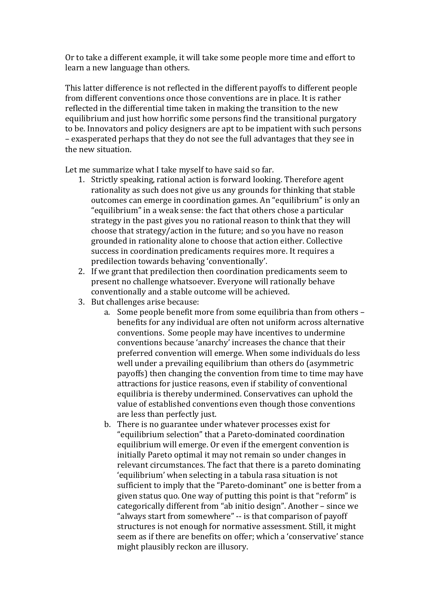Or to take a different example, it will take some people more time and effort to learn a new language than others.

This latter difference is not reflected in the different payoffs to different people from different conventions once those conventions are in place. It is rather reflected in the differential time taken in making the transition to the new equilibrium and just how horrific some persons find the transitional purgatory to be. Innovators and policy designers are apt to be impatient with such persons – exasperated perhaps that they do not see the full advantages that they see in the new situation.

Let me summarize what I take myself to have said so far.

- 1. Strictly speaking, rational action is forward looking. Therefore agent rationality as such does not give us any grounds for thinking that stable outcomes can emerge in coordination games. An "equilibrium" is only an "equilibrium" in a weak sense: the fact that others chose a particular strategy in the past gives you no rational reason to think that they will choose that strategy/action in the future; and so you have no reason grounded in rationality alone to choose that action either. Collective success in coordination predicaments requires more. It requires a predilection towards behaving 'conventionally'.
- 2. If we grant that predilection then coordination predicaments seem to present no challenge whatsoever. Everyone will rationally behave conventionally and a stable outcome will be achieved.
- 3. But challenges arise because:
	- a. Some people benefit more from some equilibria than from others benefits for any individual are often not uniform across alternative conventions. Some people may have incentives to undermine conventions because 'anarchy' increases the chance that their preferred convention will emerge. When some individuals do less well under a prevailing equilibrium than others do (asymmetric payoffs) then changing the convention from time to time may have attractions for justice reasons, even if stability of conventional equilibria is thereby undermined. Conservatives can uphold the value of established conventions even though those conventions are less than perfectly just.
	- b. There is no guarantee under whatever processes exist for "equilibrium selection" that a Pareto-dominated coordination equilibrium will emerge. Or even if the emergent convention is initially Pareto optimal it may not remain so under changes in relevant circumstances. The fact that there is a pareto dominating 'equilibrium' when selecting in a tabula rasa situation is not sufficient to imply that the "Pareto-dominant" one is better from a given status quo. One way of putting this point is that "reform" is categorically different from "ab initio design". Another – since we "always start from somewhere" -- is that comparison of payoff structures is not enough for normative assessment. Still, it might seem as if there are benefits on offer: which a 'conservative' stance might plausibly reckon are illusory.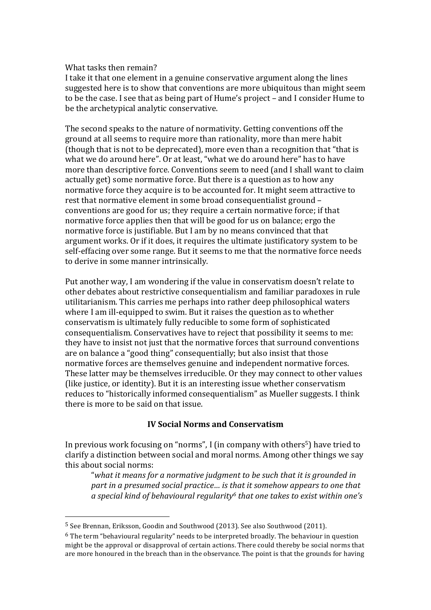#### What tasks then remain?

I take it that one element in a genuine conservative argument along the lines suggested here is to show that conventions are more ubiquitous than might seem to be the case. I see that as being part of Hume's project – and I consider Hume to be the archetypical analytic conservative.

The second speaks to the nature of normativity. Getting conventions off the ground at all seems to require more than rationality, more than mere habit (though that is not to be deprecated), more even than a recognition that "that is what we do around here". Or at least, "what we do around here" has to have more than descriptive force. Conventions seem to need (and I shall want to claim actually get) some normative force. But there is a question as to how any normative force they acquire is to be accounted for. It might seem attractive to rest that normative element in some broad consequentialist ground conventions are good for us; they require a certain normative force; if that normative force applies then that will be good for us on balance; ergo the normative force is justifiable. But I am by no means convinced that that argument works. Or if it does, it requires the ultimate justificatory system to be self-effacing over some range. But it seems to me that the normative force needs to derive in some manner intrinsically.

Put another way, I am wondering if the value in conservatism doesn't relate to other debates about restrictive consequentialism and familiar paradoxes in rule utilitarianism. This carries me perhaps into rather deep philosophical waters where I am ill-equipped to swim. But it raises the question as to whether conservatism is ultimately fully reducible to some form of sophisticated consequentialism. Conservatives have to reject that possibility it seems to me: they have to insist not just that the normative forces that surround conventions are on balance a "good thing" consequentially; but also insist that those normative forces are themselves genuine and independent normative forces. These latter may be themselves irreducible. Or they may connect to other values (like justice, or identity). But it is an interesting issue whether conservatism reduces to "historically informed consequentialism" as Mueller suggests. I think there is more to be said on that issue.

### **IV Social Norms and Conservatism**

In previous work focusing on "norms", I (in company with others<sup>5</sup>) have tried to clarify a distinction between social and moral norms. Among other things we say this about social norms:

"what it means for a normative judgment to be such that it is grounded in *part* in a presumed social practice... is that it somehow appears to one that a special kind of behavioural regularity<sup>6</sup> that one takes to exist within one's

<sup>&</sup>lt;sup>5</sup> See Brennan, Eriksson, Goodin and Southwood (2013). See also Southwood (2011).

 $6$  The term "behavioural regularity" needs to be interpreted broadly. The behaviour in question might be the approval or disapproval of certain actions. There could thereby be social norms that are more honoured in the breach than in the observance. The point is that the grounds for having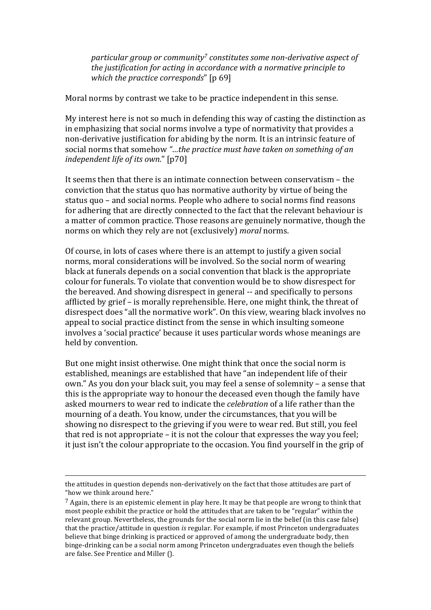*particular group or community<sup>7</sup> constitutes some non-derivative aspect of the justification for acting in accordance with a normative principle to which the practice corresponds*" [p 69]

Moral norms by contrast we take to be practice independent in this sense.

My interest here is not so much in defending this way of casting the distinction as in emphasizing that social norms involve a type of normativity that provides a non-derivative justification for abiding by the norm. It is an intrinsic feature of social norms that somehow "...the practice must have taken on something of an *independent life of its own.*" [p70]

It seems then that there is an intimate connection between conservatism  $-$  the conviction that the status quo has normative authority by virtue of being the status quo – and social norms. People who adhere to social norms find reasons for adhering that are directly connected to the fact that the relevant behaviour is a matter of common practice. Those reasons are genuinely normative, though the norms on which they rely are not (exclusively) *moral* norms.

Of course, in lots of cases where there is an attempt to justify a given social norms, moral considerations will be involved. So the social norm of wearing black at funerals depends on a social convention that black is the appropriate colour for funerals. To violate that convention would be to show disrespect for the bereaved. And showing disrespect in general -- and specifically to persons afflicted by grief – is morally reprehensible. Here, one might think, the threat of disrespect does "all the normative work". On this view, wearing black involves no appeal to social practice distinct from the sense in which insulting someone involves a 'social practice' because it uses particular words whose meanings are held by convention.

But one might insist otherwise. One might think that once the social norm is established, meanings are established that have "an independent life of their own." As you don your black suit, you may feel a sense of solemnity - a sense that this is the appropriate way to honour the deceased even though the family have asked mourners to wear red to indicate the *celebration* of a life rather than the mourning of a death. You know, under the circumstances, that you will be showing no disrespect to the grieving if you were to wear red. But still, you feel that red is not appropriate  $-$  it is not the colour that expresses the way you feel: it just isn't the colour appropriate to the occasion. You find yourself in the grip of

<u> 1989 - Johann Stein, fransk politik (d. 1989)</u>

the attitudes in question depends non-derivatively on the fact that those attitudes are part of "how we think around here."

 $^7$  Again, there is an epistemic element in play here. It may be that people are wrong to think that most people exhibit the practice or hold the attitudes that are taken to be "regular" within the relevant group. Nevertheless, the grounds for the social norm lie in the belief (in this case false) that the practice/attitude in question *is* regular. For example, if most Princeton undergraduates believe that binge drinking is practiced or approved of among the undergraduate body, then binge-drinking can be a social norm among Princeton undergraduates even though the beliefs are false. See Prentice and Miller ().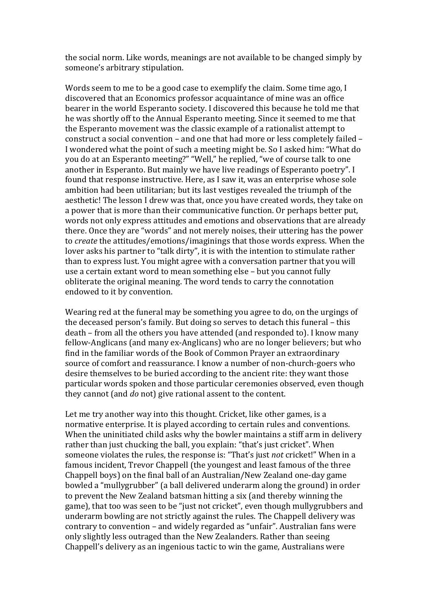the social norm. Like words, meanings are not available to be changed simply by someone's arbitrary stipulation.

Words seem to me to be a good case to exemplify the claim. Some time ago, I discovered that an Economics professor acquaintance of mine was an office bearer in the world Esperanto society. I discovered this because he told me that he was shortly off to the Annual Esperanto meeting. Since it seemed to me that the Esperanto movement was the classic example of a rationalist attempt to construct a social convention – and one that had more or less completely failed – I wondered what the point of such a meeting might be. So I asked him: "What do you do at an Esperanto meeting?" "Well," he replied, "we of course talk to one another in Esperanto. But mainly we have live readings of Esperanto poetry". I found that response instructive. Here, as I saw it, was an enterprise whose sole ambition had been utilitarian; but its last vestiges revealed the triumph of the aesthetic! The lesson I drew was that, once you have created words, they take on a power that is more than their communicative function. Or perhaps better put, words not only express attitudes and emotions and observations that are already there. Once they are "words" and not merely noises, their uttering has the power to *create* the attitudes/emotions/imaginings that those words express. When the lover asks his partner to "talk dirty", it is with the intention to stimulate rather than to express lust. You might agree with a conversation partner that you will use a certain extant word to mean something else - but you cannot fully obliterate the original meaning. The word tends to carry the connotation endowed to it by convention.

Wearing red at the funeral may be something you agree to do, on the urgings of the deceased person's family. But doing so serves to detach this funeral – this death – from all the others you have attended (and responded to). I know many fellow-Anglicans (and many ex-Anglicans) who are no longer believers; but who find in the familiar words of the Book of Common Prayer an extraordinary source of comfort and reassurance. I know a number of non-church-goers who desire themselves to be buried according to the ancient rite: they want those particular words spoken and those particular ceremonies observed, even though they cannot (and *do* not) give rational assent to the content.

Let me try another way into this thought. Cricket, like other games, is a normative enterprise. It is played according to certain rules and conventions. When the uninitiated child asks why the bowler maintains a stiff arm in delivery rather than just chucking the ball, you explain: "that's just cricket". When someone violates the rules, the response is: "That's just *not* cricket!" When in a famous incident. Trevor Chappell (the voungest and least famous of the three Chappell boys) on the final ball of an Australian/New Zealand one-day game bowled a "mullygrubber" (a ball delivered underarm along the ground) in order to prevent the New Zealand batsman hitting a six (and thereby winning the game), that too was seen to be "just not cricket", even though mullygrubbers and underarm bowling are not strictly against the rules. The Chappell delivery was contrary to convention - and widely regarded as "unfair". Australian fans were only slightly less outraged than the New Zealanders. Rather than seeing Chappell's delivery as an ingenious tactic to win the game, Australians were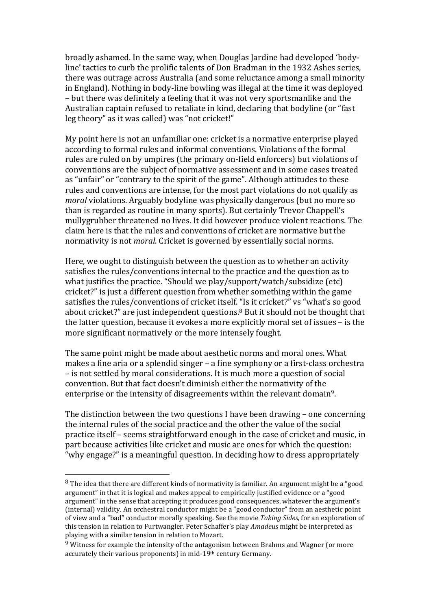broadly ashamed. In the same way, when Douglas Jardine had developed 'bodyline' tactics to curb the prolific talents of Don Bradman in the 1932 Ashes series, there was outrage across Australia (and some reluctance among a small minority in England). Nothing in body-line bowling was illegal at the time it was deployed – but there was definitely a feeling that it was not very sportsmanlike and the Australian captain refused to retaliate in kind, declaring that bodyline (or "fast leg theory" as it was called) was "not cricket!"

My point here is not an unfamiliar one: cricket is a normative enterprise played according to formal rules and informal conventions. Violations of the formal rules are ruled on by umpires (the primary on-field enforcers) but violations of conventions are the subject of normative assessment and in some cases treated as "unfair" or "contrary to the spirit of the game". Although attitudes to these rules and conventions are intense, for the most part violations do not qualify as *moral* violations. Arguably bodyline was physically dangerous (but no more so than is regarded as routine in many sports). But certainly Trevor Chappell's mullygrubber threatened no lives. It did however produce violent reactions. The claim here is that the rules and conventions of cricket are normative but the normativity is not *moral*. Cricket is governed by essentially social norms.

Here, we ought to distinguish between the question as to whether an activity satisfies the rules/conventions internal to the practice and the question as to what justifies the practice. "Should we play/support/watch/subsidize  $[etc]$ cricket?" is just a different question from whether something within the game satisfies the rules/conventions of cricket itself. "Is it cricket?" vs "what's so good about cricket?" are just independent questions. $8$  But it should not be thought that the latter question, because it evokes a more explicitly moral set of issues  $-$  is the more significant normatively or the more intensely fought.

The same point might be made about aesthetic norms and moral ones. What makes a fine aria or a splendid singer – a fine symphony or a first-class orchestra – is not settled by moral considerations. It is much more a question of social convention. But that fact doesn't diminish either the normativity of the enterprise or the intensity of disagreements within the relevant domain<sup>9</sup>.

The distinction between the two questions I have been drawing – one concerning the internal rules of the social practice and the other the value of the social practice itself – seems straightforward enough in the case of cricket and music, in part because activities like cricket and music are ones for which the question: "why engage?" is a meaningful question. In deciding how to dress appropriately

 $8$  The idea that there are different kinds of normativity is familiar. An argument might be a "good argument" in that it is logical and makes appeal to empirically justified evidence or a "good argument" in the sense that accepting it produces good consequences, whatever the argument's (internal) validity. An orchestral conductor might be a "good conductor" from an aesthetic point of view and a "bad" conductor morally speaking. See the movie *Taking Sides,* for an exploration of this tension in relation to Furtwangler. Peter Schaffer's play *Amadeus* might be interpreted as playing with a similar tension in relation to Mozart.

 $9$  Witness for example the intensity of the antagonism between Brahms and Wagner (or more accurately their various proponents) in mid-19<sup>th</sup> century Germany.